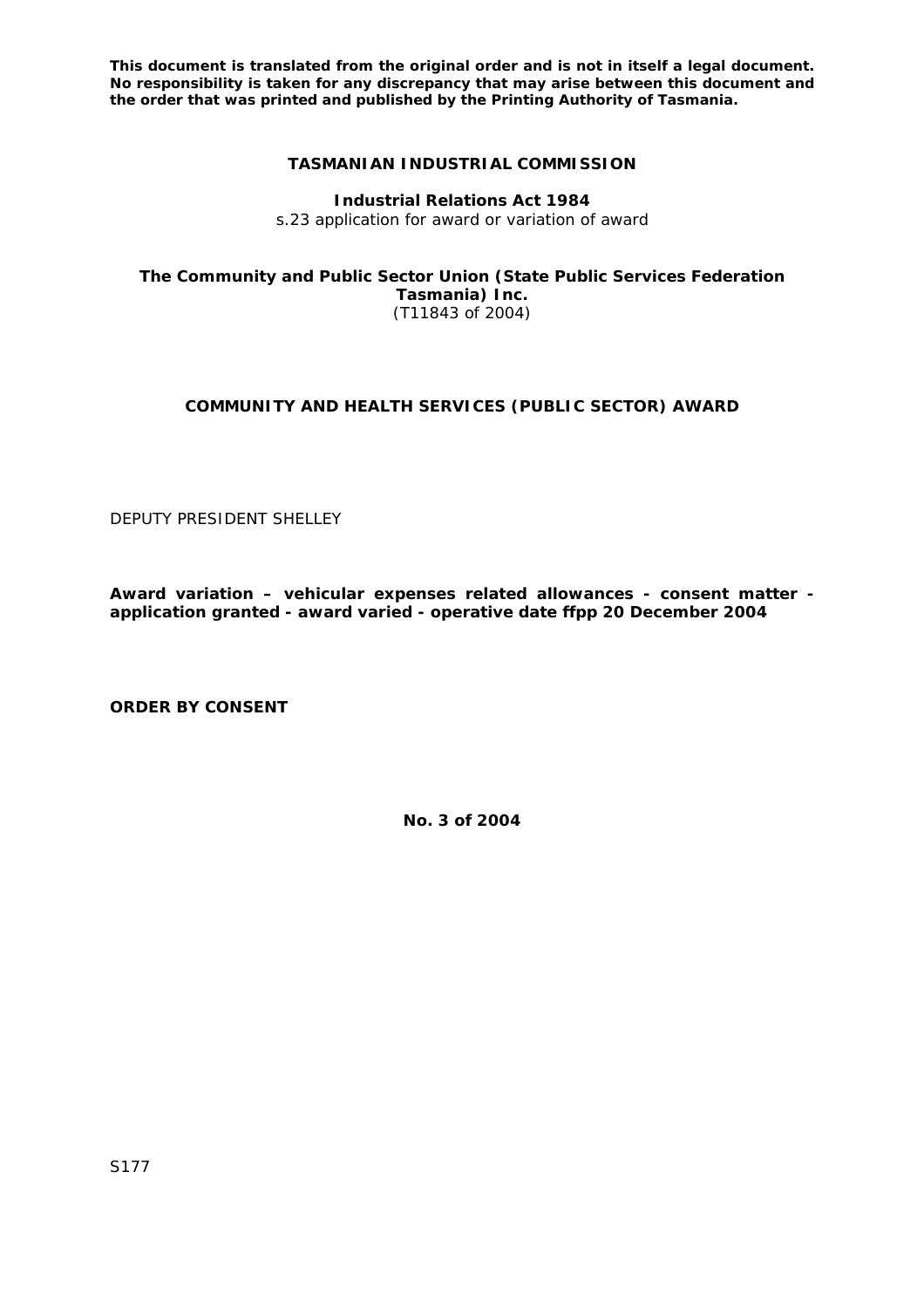**This document is translated from the original order and is not in itself a legal document. No responsibility is taken for any discrepancy that may arise between this document and the order that was printed and published by the Printing Authority of Tasmania.** 

## **TASMANIAN INDUSTRIAL COMMISSION**

**Industrial Relations Act 1984** 

s.23 application for award or variation of award

**The Community and Public Sector Union (State Public Services Federation Tasmania) Inc.** 

(T11843 of 2004)

## **COMMUNITY AND HEALTH SERVICES (PUBLIC SECTOR) AWARD**

DEPUTY PRESIDENT SHELLEY

**Award variation – vehicular expenses related allowances - consent matter application granted - award varied - operative date ffpp 20 December 2004** 

**ORDER BY CONSENT** 

**No. 3 of 2004**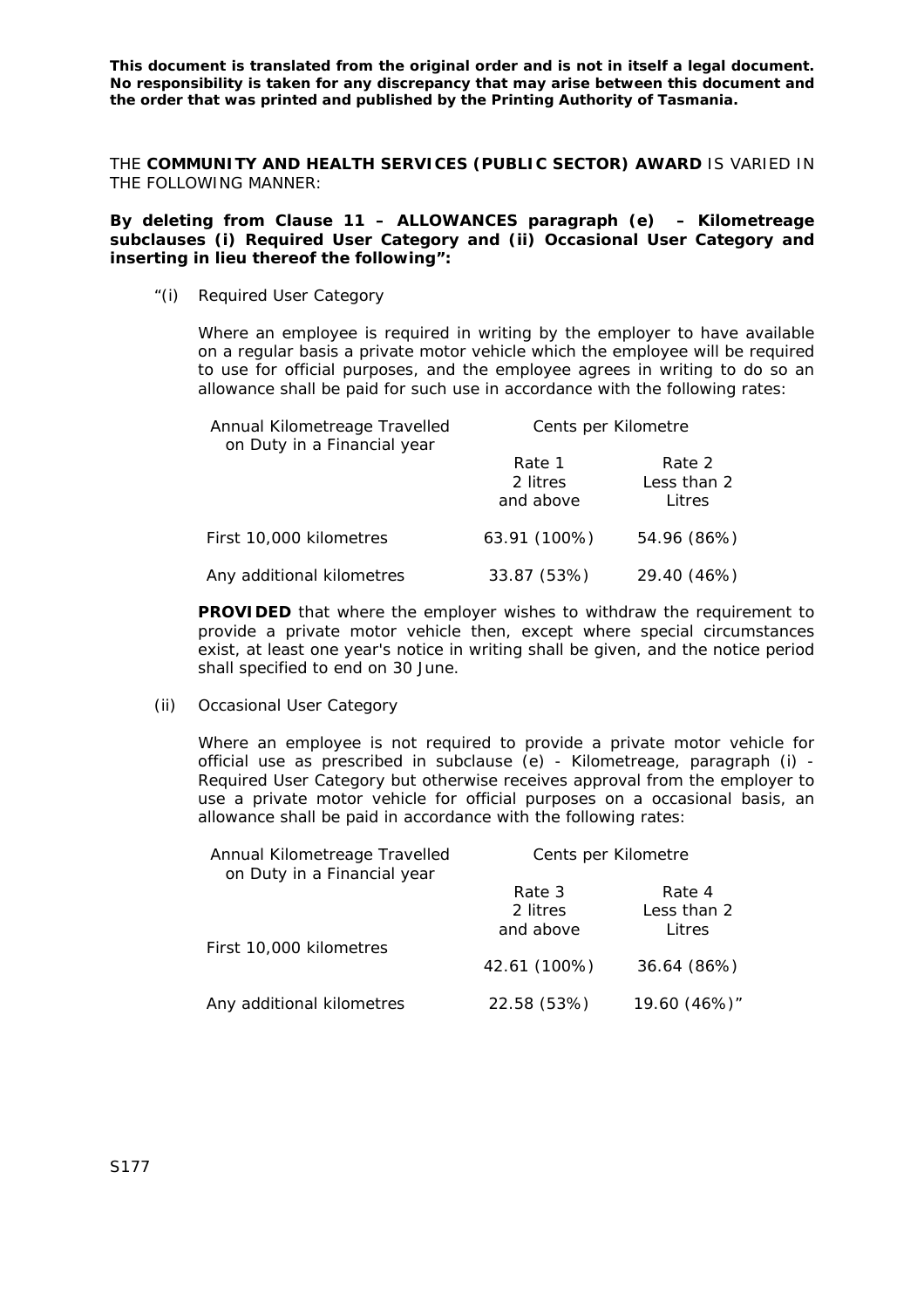**This document is translated from the original order and is not in itself a legal document. No responsibility is taken for any discrepancy that may arise between this document and the order that was printed and published by the Printing Authority of Tasmania.** 

THE **COMMUNITY AND HEALTH SERVICES (PUBLIC SECTOR) AWARD** IS VARIED IN THE FOLLOWING MANNER:

**By deleting from Clause 11 – ALLOWANCES paragraph (e) – Kilometreage subclauses (i) Required User Category and (ii) Occasional User Category and inserting in lieu thereof the following":** 

"(i) Required User Category

Where an employee is required in writing by the employer to have available on a regular basis a private motor vehicle which the employee will be required to use for official purposes, and the employee agrees in writing to do so an allowance shall be paid for such use in accordance with the following rates:

| Annual Kilometreage Travelled<br>on Duty in a Financial year | Cents per Kilometre             |                                 |
|--------------------------------------------------------------|---------------------------------|---------------------------------|
|                                                              | Rate 1<br>2 litres<br>and above | Rate 2<br>Less than 2<br>Litres |
| First 10,000 kilometres                                      | 63.91 (100%)                    | 54.96 (86%)                     |
| Any additional kilometres                                    | 33.87 (53%)                     | 29.40 (46%)                     |

**PROVIDED** that where the employer wishes to withdraw the requirement to provide a private motor vehicle then, except where special circumstances exist, at least one year's notice in writing shall be given, and the notice period shall specified to end on 30 June.

(ii) Occasional User Category

Where an employee is not required to provide a private motor vehicle for official use as prescribed in subclause (e) - Kilometreage, paragraph (i) - Required User Category but otherwise receives approval from the employer to use a private motor vehicle for official purposes on a occasional basis, an allowance shall be paid in accordance with the following rates:

| Annual Kilometreage Travelled<br>on Duty in a Financial year | Cents per Kilometre |              |
|--------------------------------------------------------------|---------------------|--------------|
|                                                              | Rate 3              | Rate 4       |
|                                                              | 2 litres            | Less than 2  |
| First 10,000 kilometres                                      | and above           | Litres       |
|                                                              | 42.61 (100%)        | 36.64 (86%)  |
| Any additional kilometres                                    | 22.58 (53%)         | 19.60 (46%)" |